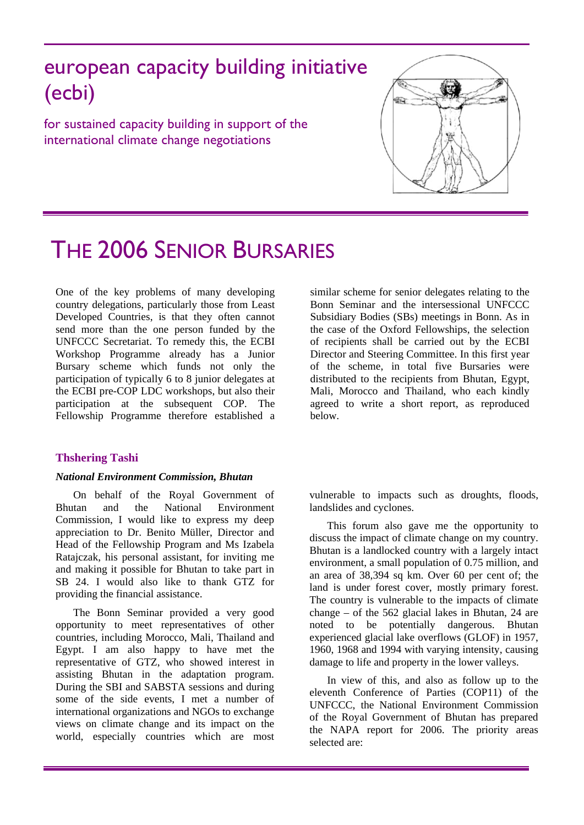## european capacity building initiative (ecbi)

for sustained capacity building in support of the international climate change negotiations



# THE 2006 SENIOR BURSARIES

One of the key problems of many developing country delegations, particularly those from Least Developed Countries, is that they often cannot send more than the one person funded by the UNFCCC Secretariat. To remedy this, the ECBI Workshop Programme already has a Junior Bursary scheme which funds not only the participation of typically 6 to 8 junior delegates at the ECBI pre-COP LDC workshops, but also their participation at the subsequent COP. The Fellowship Programme therefore established a

## **Thshering Tashi**

## *National Environment Commission, Bhutan*

On behalf of the Royal Government of Bhutan and the National Environment Commission, I would like to express my deep appreciation to Dr. Benito Müller, Director and Head of the Fellowship Program and Ms Izabela Ratajczak, his personal assistant, for inviting me and making it possible for Bhutan to take part in SB 24. I would also like to thank GTZ for providing the financial assistance.

The Bonn Seminar provided a very good opportunity to meet representatives of other countries, including Morocco, Mali, Thailand and Egypt. I am also happy to have met the representative of GTZ, who showed interest in assisting Bhutan in the adaptation program. During the SBI and SABSTA sessions and during some of the side events, I met a number of international organizations and NGOs to exchange views on climate change and its impact on the world, especially countries which are most similar scheme for senior delegates relating to the Bonn Seminar and the intersessional UNFCCC Subsidiary Bodies (SBs) meetings in Bonn. As in the case of the Oxford Fellowships, the selection of recipients shall be carried out by the ECBI Director and Steering Committee. In this first year of the scheme, in total five Bursaries were distributed to the recipients from Bhutan, Egypt, Mali, Morocco and Thailand, who each kindly agreed to write a short report, as reproduced below.

vulnerable to impacts such as droughts, floods, landslides and cyclones.

This forum also gave me the opportunity to discuss the impact of climate change on my country. Bhutan is a landlocked country with a largely intact environment, a small population of 0.75 million, and an area of 38,394 sq km. Over 60 per cent of; the land is under forest cover, mostly primary forest. The country is vulnerable to the impacts of climate change – of the 562 glacial lakes in Bhutan, 24 are noted to be potentially dangerous. Bhutan experienced glacial lake overflows (GLOF) in 1957, 1960, 1968 and 1994 with varying intensity, causing damage to life and property in the lower valleys.

In view of this, and also as follow up to the eleventh Conference of Parties (COP11) of the UNFCCC, the National Environment Commission of the Royal Government of Bhutan has prepared the NAPA report for 2006. The priority areas selected are: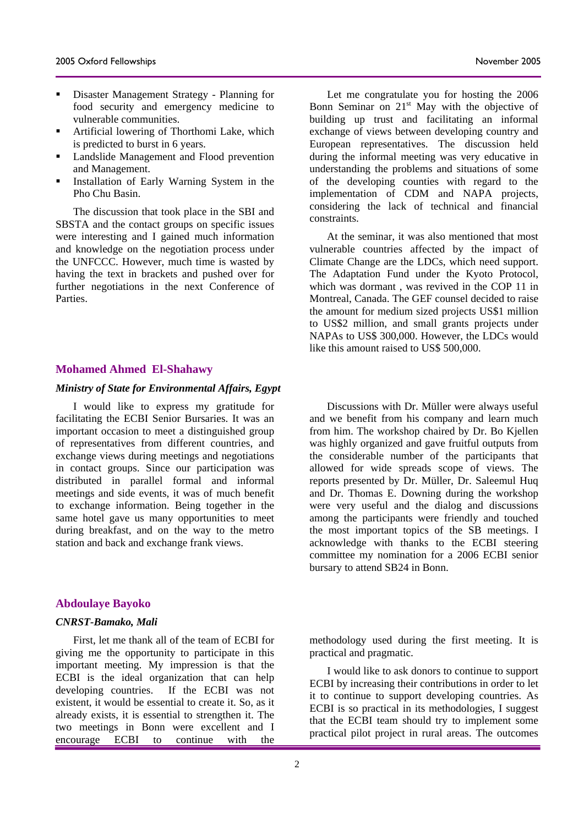- Disaster Management Strategy Planning for food security and emergency medicine to vulnerable communities.
- Artificial lowering of Thorthomi Lake, which is predicted to burst in 6 years.
- **Landslide Management and Flood prevention** and Management.
- Installation of Early Warning System in the Pho Chu Basin.

The discussion that took place in the SBI and SBSTA and the contact groups on specific issues were interesting and I gained much information and knowledge on the negotiation process under the UNFCCC. However, much time is wasted by having the text in brackets and pushed over for further negotiations in the next Conference of **Parties** 

## **Mohamed Ahmed El-Shahawy**

#### *Ministry of State for Environmental Affairs, Egypt*

I would like to express my gratitude for facilitating the ECBI Senior Bursaries. It was an important occasion to meet a distinguished group of representatives from different countries, and exchange views during meetings and negotiations in contact groups. Since our participation was distributed in parallel formal and informal meetings and side events, it was of much benefit to exchange information. Being together in the same hotel gave us many opportunities to meet during breakfast, and on the way to the metro station and back and exchange frank views.

#### **Abdoulaye Bayoko**

#### *CNRST-Bamako, Mali*

First, let me thank all of the team of ECBI for giving me the opportunity to participate in this important meeting. My impression is that the ECBI is the ideal organization that can help developing countries. If the ECBI was not existent, it would be essential to create it. So, as it already exists, it is essential to strengthen it. The two meetings in Bonn were excellent and I encourage ECBI to continue with the

Let me congratulate you for hosting the 2006 Bonn Seminar on  $21<sup>st</sup>$  May with the objective of building up trust and facilitating an informal exchange of views between developing country and European representatives. The discussion held during the informal meeting was very educative in understanding the problems and situations of some of the developing counties with regard to the implementation of CDM and NAPA projects, considering the lack of technical and financial constraints.

At the seminar, it was also mentioned that most vulnerable countries affected by the impact of Climate Change are the LDCs, which need support. The Adaptation Fund under the Kyoto Protocol, which was dormant , was revived in the COP 11 in Montreal, Canada. The GEF counsel decided to raise the amount for medium sized projects US\$1 million to US\$2 million, and small grants projects under NAPAs to US\$ 300,000. However, the LDCs would like this amount raised to US\$ 500,000.

Discussions with Dr. Müller were always useful and we benefit from his company and learn much from him. The workshop chaired by Dr. Bo Kjellen was highly organized and gave fruitful outputs from the considerable number of the participants that allowed for wide spreads scope of views. The reports presented by Dr. Müller, Dr. Saleemul Huq and Dr. Thomas E. Downing during the workshop were very useful and the dialog and discussions among the participants were friendly and touched the most important topics of the SB meetings. I acknowledge with thanks to the ECBI steering committee my nomination for a 2006 ECBI senior bursary to attend SB24 in Bonn.

methodology used during the first meeting. It is practical and pragmatic.

I would like to ask donors to continue to support ECBI by increasing their contributions in order to let it to continue to support developing countries. As ECBI is so practical in its methodologies, I suggest that the ECBI team should try to implement some practical pilot project in rural areas. The outcomes